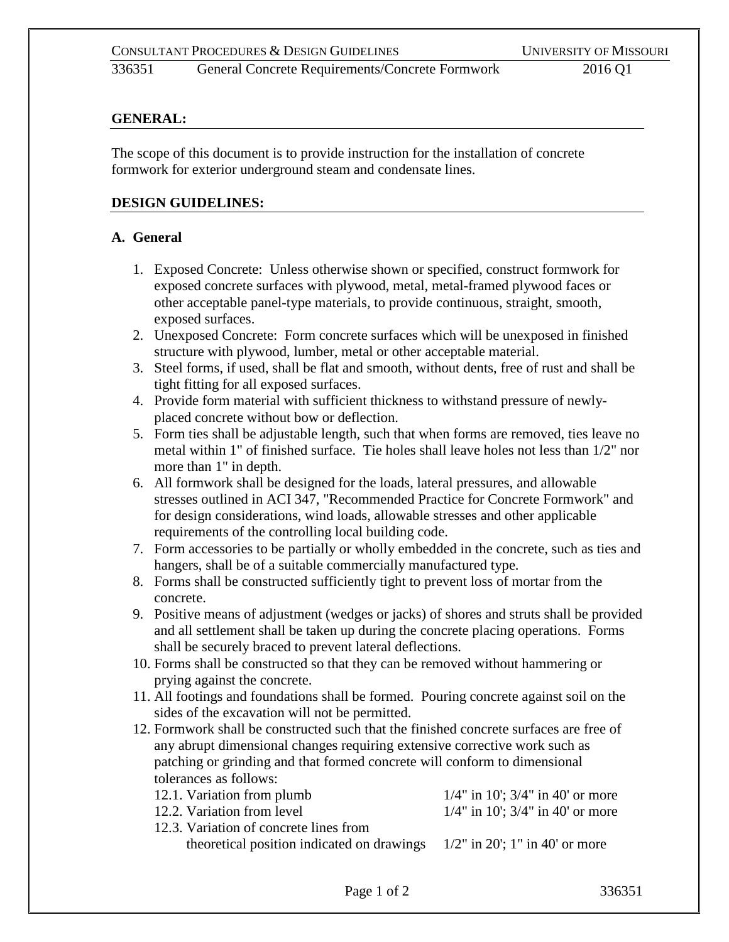336351 General Concrete Requirements/Concrete Formwork 2016 Q1

## **GENERAL:**

The scope of this document is to provide instruction for the installation of concrete formwork for exterior underground steam and condensate lines.

## **DESIGN GUIDELINES:**

## **A. General**

- 1. Exposed Concrete: Unless otherwise shown or specified, construct formwork for exposed concrete surfaces with plywood, metal, metal-framed plywood faces or other acceptable panel-type materials, to provide continuous, straight, smooth, exposed surfaces.
- 2. Unexposed Concrete: Form concrete surfaces which will be unexposed in finished structure with plywood, lumber, metal or other acceptable material.
- 3. Steel forms, if used, shall be flat and smooth, without dents, free of rust and shall be tight fitting for all exposed surfaces.
- 4. Provide form material with sufficient thickness to withstand pressure of newlyplaced concrete without bow or deflection.
- 5. Form ties shall be adjustable length, such that when forms are removed, ties leave no metal within 1" of finished surface. Tie holes shall leave holes not less than 1/2" nor more than 1" in depth.
- 6. All formwork shall be designed for the loads, lateral pressures, and allowable stresses outlined in ACI 347, "Recommended Practice for Concrete Formwork" and for design considerations, wind loads, allowable stresses and other applicable requirements of the controlling local building code.
- 7. Form accessories to be partially or wholly embedded in the concrete, such as ties and hangers, shall be of a suitable commercially manufactured type.
- 8. Forms shall be constructed sufficiently tight to prevent loss of mortar from the concrete.
- 9. Positive means of adjustment (wedges or jacks) of shores and struts shall be provided and all settlement shall be taken up during the concrete placing operations. Forms shall be securely braced to prevent lateral deflections.
- 10. Forms shall be constructed so that they can be removed without hammering or prying against the concrete.
- 11. All footings and foundations shall be formed. Pouring concrete against soil on the sides of the excavation will not be permitted.
- 12. Formwork shall be constructed such that the finished concrete surfaces are free of any abrupt dimensional changes requiring extensive corrective work such as patching or grinding and that formed concrete will conform to dimensional tolerances as follows:

| 12.1. Variation from plumb                                                   | $1/4$ " in 10'; $3/4$ " in 40' or more |
|------------------------------------------------------------------------------|----------------------------------------|
| 12.2. Variation from level                                                   | $1/4$ " in 10'; $3/4$ " in 40' or more |
| 12.3. Variation of concrete lines from                                       |                                        |
| theoretical position indicated on drawings $1/2$ " in 20'; 1" in 40' or more |                                        |